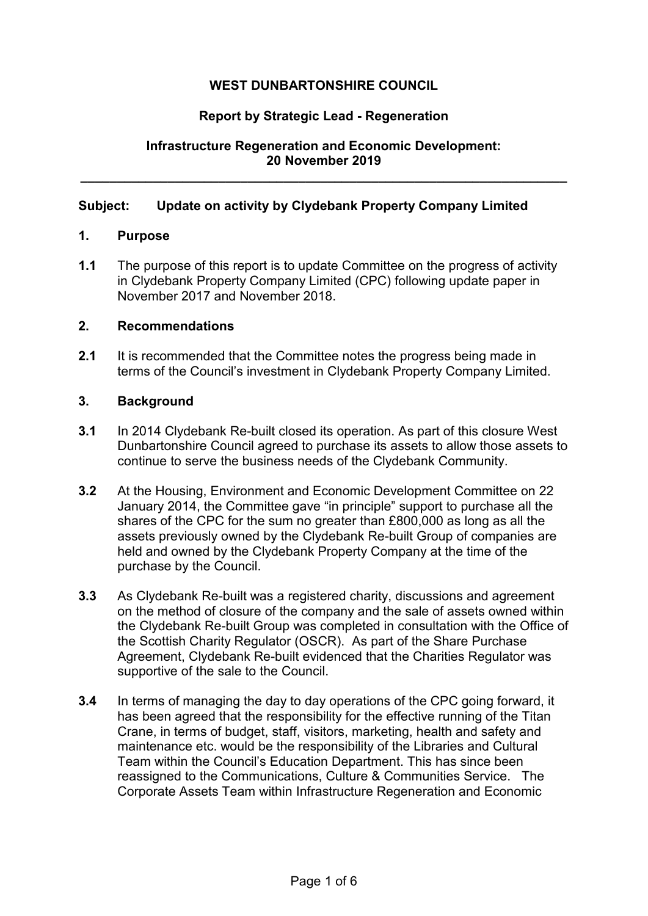# **WEST DUNBARTONSHIRE COUNCIL**

## **Report by Strategic Lead - Regeneration**

# **Infrastructure Regeneration and Economic Development: 20 November 2019**

**\_\_\_\_\_\_\_\_\_\_\_\_\_\_\_\_\_\_\_\_\_\_\_\_\_\_\_\_\_\_\_\_\_\_\_\_\_\_\_\_\_\_\_\_\_\_\_\_\_\_\_\_\_\_\_\_\_\_\_\_\_\_\_\_\_\_\_** 

## **Subject: Update on activity by Clydebank Property Company Limited**

### **1. Purpose**

**1.1** The purpose of this report is to update Committee on the progress of activity in Clydebank Property Company Limited (CPC) following update paper in November 2017 and November 2018.

### **2. Recommendations**

**2.1** It is recommended that the Committee notes the progress being made in terms of the Council's investment in Clydebank Property Company Limited.

### **3. Background**

- **3.1** In 2014 Clydebank Re-built closed its operation. As part of this closure West Dunbartonshire Council agreed to purchase its assets to allow those assets to continue to serve the business needs of the Clydebank Community.
- **3.2** At the Housing, Environment and Economic Development Committee on 22 January 2014, the Committee gave "in principle" support to purchase all the shares of the CPC for the sum no greater than £800,000 as long as all the assets previously owned by the Clydebank Re-built Group of companies are held and owned by the Clydebank Property Company at the time of the purchase by the Council.
- **3.3** As Clydebank Re-built was a registered charity, discussions and agreement on the method of closure of the company and the sale of assets owned within the Clydebank Re-built Group was completed in consultation with the Office of the Scottish Charity Regulator (OSCR). As part of the Share Purchase Agreement, Clydebank Re-built evidenced that the Charities Regulator was supportive of the sale to the Council.
- **3.4** In terms of managing the day to day operations of the CPC going forward, it has been agreed that the responsibility for the effective running of the Titan Crane, in terms of budget, staff, visitors, marketing, health and safety and maintenance etc. would be the responsibility of the Libraries and Cultural Team within the Council's Education Department. This has since been reassigned to the Communications, Culture & Communities Service. The Corporate Assets Team within Infrastructure Regeneration and Economic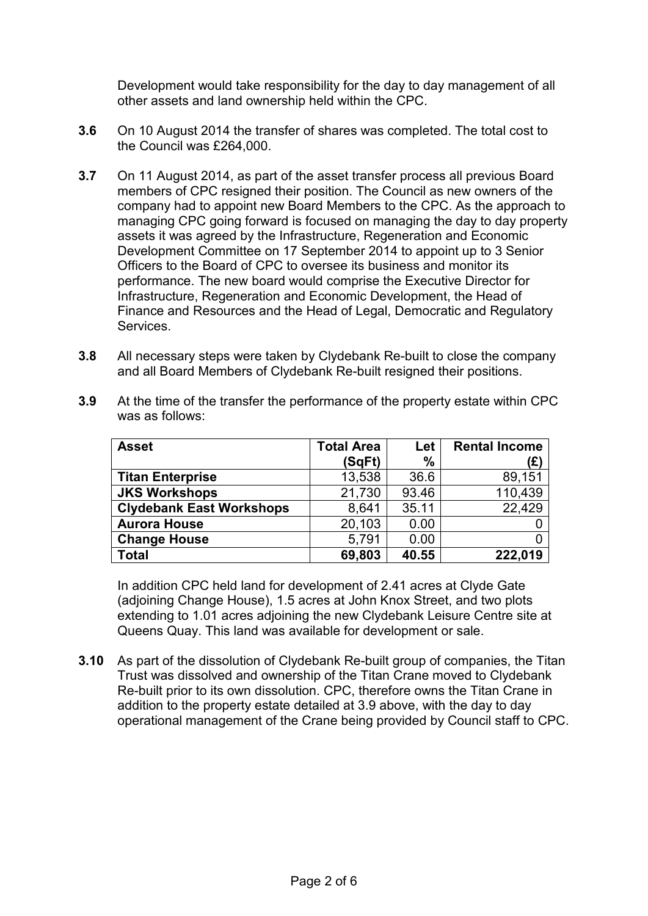Development would take responsibility for the day to day management of all other assets and land ownership held within the CPC.

- **3.6** On 10 August 2014 the transfer of shares was completed. The total cost to the Council was £264,000.
- **3.7** On 11 August 2014, as part of the asset transfer process all previous Board members of CPC resigned their position. The Council as new owners of the company had to appoint new Board Members to the CPC. As the approach to managing CPC going forward is focused on managing the day to day property assets it was agreed by the Infrastructure, Regeneration and Economic Development Committee on 17 September 2014 to appoint up to 3 Senior Officers to the Board of CPC to oversee its business and monitor its performance. The new board would comprise the Executive Director for Infrastructure, Regeneration and Economic Development, the Head of Finance and Resources and the Head of Legal, Democratic and Regulatory Services.
- **3.8** All necessary steps were taken by Clydebank Re-built to close the company and all Board Members of Clydebank Re-built resigned their positions.

| <b>Asset</b>                    | <b>Total Area</b> | Let   | <b>Rental Income</b> |
|---------------------------------|-------------------|-------|----------------------|
|                                 | (SqFt)            | %     | (£)                  |
| <b>Titan Enterprise</b>         | 13,538            | 36.6  | 89,151               |
| <b>JKS Workshops</b>            | 21,730            | 93.46 | 110,439              |
| <b>Clydebank East Workshops</b> | 8,641             | 35.11 | 22,429               |
| <b>Aurora House</b>             | 20,103            | 0.00  |                      |
| <b>Change House</b>             | 5,791             | 0.00  |                      |
| <b>Total</b>                    | 69,803            | 40.55 | 222,019              |

**3.9** At the time of the transfer the performance of the property estate within CPC was as follows:

In addition CPC held land for development of 2.41 acres at Clyde Gate (adjoining Change House), 1.5 acres at John Knox Street, and two plots extending to 1.01 acres adjoining the new Clydebank Leisure Centre site at Queens Quay. This land was available for development or sale.

**3.10** As part of the dissolution of Clydebank Re-built group of companies, the Titan Trust was dissolved and ownership of the Titan Crane moved to Clydebank Re-built prior to its own dissolution. CPC, therefore owns the Titan Crane in addition to the property estate detailed at 3.9 above, with the day to day operational management of the Crane being provided by Council staff to CPC.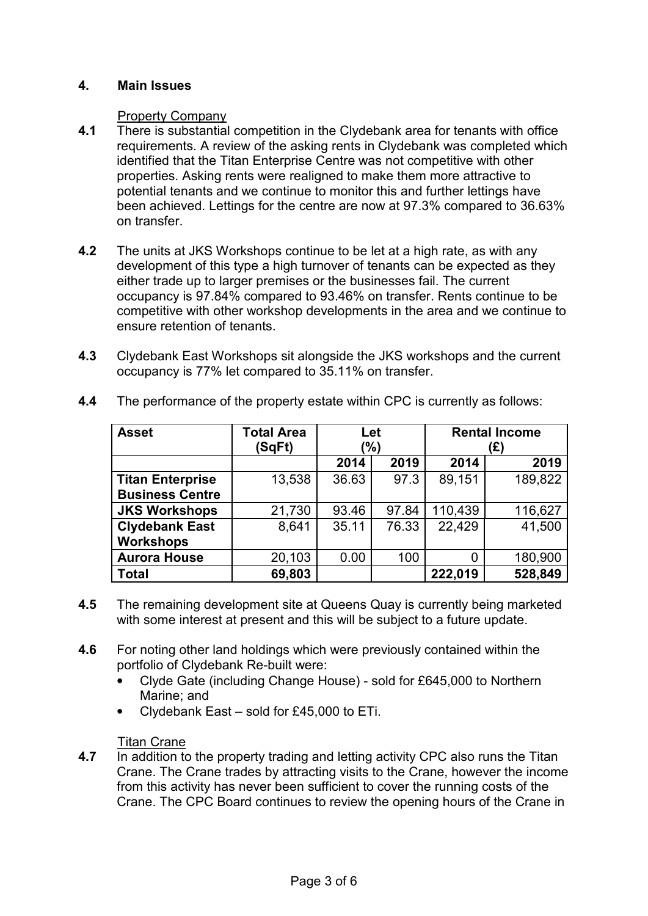# **4. Main Issues**

### Property Company

- **4.1** There is substantial competition in the Clydebank area for tenants with office requirements. A review of the asking rents in Clydebank was completed which identified that the Titan Enterprise Centre was not competitive with other properties. Asking rents were realigned to make them more attractive to potential tenants and we continue to monitor this and further lettings have been achieved. Lettings for the centre are now at 97.3% compared to 36.63% on transfer.
- **4.2** The units at JKS Workshops continue to be let at a high rate, as with any development of this type a high turnover of tenants can be expected as they either trade up to larger premises or the businesses fail. The current occupancy is 97.84% compared to 93.46% on transfer. Rents continue to be competitive with other workshop developments in the area and we continue to ensure retention of tenants.
- **4.3** Clydebank East Workshops sit alongside the JKS workshops and the current occupancy is 77% let compared to 35.11% on transfer.

| <b>Asset</b>            | <b>Total Area</b> | Let   |       | <b>Rental Income</b> |         |
|-------------------------|-------------------|-------|-------|----------------------|---------|
|                         | (SqFt)            | (%)   |       | (E)                  |         |
|                         |                   | 2014  | 2019  | 2014                 | 2019    |
| <b>Titan Enterprise</b> | 13,538            | 36.63 | 97.3  | 89,151               | 189,822 |
| <b>Business Centre</b>  |                   |       |       |                      |         |
| <b>JKS Workshops</b>    | 21,730            | 93.46 | 97.84 | 110,439              | 116,627 |
| <b>Clydebank East</b>   | 8,641             | 35.11 | 76.33 | 22,429               | 41,500  |
| <b>Workshops</b>        |                   |       |       |                      |         |
| <b>Aurora House</b>     | 20,103            | 0.00  | 100   | 0                    | 180,900 |
| <b>Total</b>            | 69,803            |       |       | 222,019              | 528,849 |

**4.4** The performance of the property estate within CPC is currently as follows:

- **4.5** The remaining development site at Queens Quay is currently being marketed with some interest at present and this will be subject to a future update.
- **4.6** For noting other land holdings which were previously contained within the portfolio of Clydebank Re-built were:
	- Clyde Gate (including Change House) sold for £645,000 to Northern Marine; and
	- Clydebank East sold for £45,000 to ETi.

**4.7 In addition to 4.7** In addition to the property trading and letting activity CPC also runs the Titan Crane. The Crane trades by attracting visits to the Crane, however the income from this activity has never been sufficient to cover the running costs of the Crane. The CPC Board continues to review the opening hours of the Crane in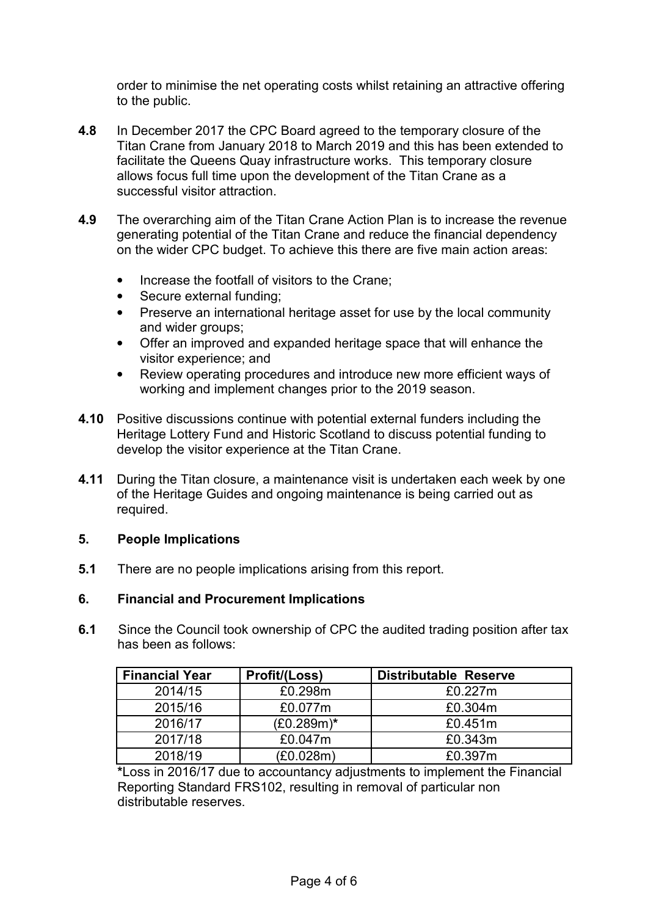order to minimise the net operating costs whilst retaining an attractive offering to the public.

- **4.8** In December 2017 the CPC Board agreed to the temporary closure of the Titan Crane from January 2018 to March 2019 and this has been extended to facilitate the Queens Quay infrastructure works. This temporary closure allows focus full time upon the development of the Titan Crane as a successful visitor attraction.
- **4.9** The overarching aim of the Titan Crane Action Plan is to increase the revenue generating potential of the Titan Crane and reduce the financial dependency on the wider CPC budget. To achieve this there are five main action areas:
	- Increase the footfall of visitors to the Crane:
	- Secure external funding;
	- Preserve an international heritage asset for use by the local community and wider groups;
	- Offer an improved and expanded heritage space that will enhance the visitor experience; and
	- Review operating procedures and introduce new more efficient ways of working and implement changes prior to the 2019 season.
- **4.10** Positive discussions continue with potential external funders including the Heritage Lottery Fund and Historic Scotland to discuss potential funding to develop the visitor experience at the Titan Crane.
- **4.11** During the Titan closure, a maintenance visit is undertaken each week by one of the Heritage Guides and ongoing maintenance is being carried out as required.

## **5. People Implications**

**5.1** There are no people implications arising from this report.

## **6. Financial and Procurement Implications**

**6.1** Since the Council took ownership of CPC the audited trading position after tax has been as follows:

| <b>Financial Year</b> | Profit/(Loss) | <b>Distributable Reserve</b> |
|-----------------------|---------------|------------------------------|
| 2014/15               | £0.298m       | £0.227m                      |
| 2015/16               | £0.077m       | £0.304m                      |
| 2016/17               | $(E0.289m)*$  | £0.451m                      |
| 2017/18               | £0.047m       | £0.343m                      |
| 2018/19               | (£0.028m)     | £0.397m                      |

**\***Loss in 2016/17 due to accountancy adjustments to implement the Financial Reporting Standard FRS102, resulting in removal of particular non distributable reserves.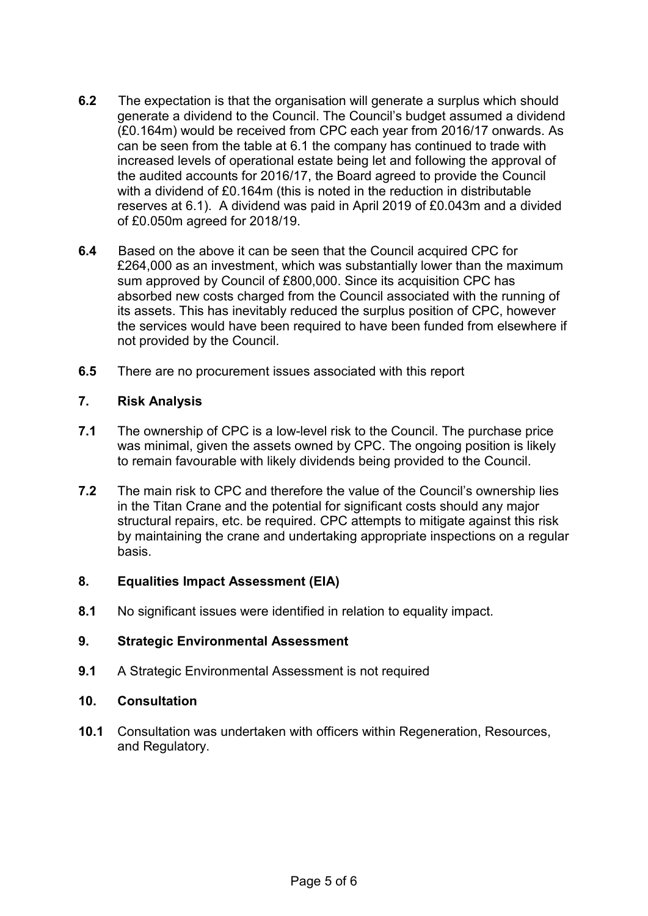- **6.2** The expectation is that the organisation will generate a surplus which should generate a dividend to the Council. The Council's budget assumed a dividend (£0.164m) would be received from CPC each year from 2016/17 onwards. As can be seen from the table at 6.1 the company has continued to trade with increased levels of operational estate being let and following the approval of the audited accounts for 2016/17, the Board agreed to provide the Council with a dividend of £0.164m (this is noted in the reduction in distributable reserves at 6.1). A dividend was paid in April 2019 of £0.043m and a divided of £0.050m agreed for 2018/19.
- **6.4** Based on the above it can be seen that the Council acquired CPC for £264,000 as an investment, which was substantially lower than the maximum sum approved by Council of £800,000. Since its acquisition CPC has absorbed new costs charged from the Council associated with the running of its assets. This has inevitably reduced the surplus position of CPC, however the services would have been required to have been funded from elsewhere if not provided by the Council.
- **6.5** There are no procurement issues associated with this report

## **7. Risk Analysis**

- **7.1** The ownership of CPC is a low-level risk to the Council. The purchase price was minimal, given the assets owned by CPC. The ongoing position is likely to remain favourable with likely dividends being provided to the Council.
- **7.2** The main risk to CPC and therefore the value of the Council's ownership lies in the Titan Crane and the potential for significant costs should any major structural repairs, etc. be required. CPC attempts to mitigate against this risk by maintaining the crane and undertaking appropriate inspections on a regular basis.

## **8. Equalities Impact Assessment (EIA)**

**8.1** No significant issues were identified in relation to equality impact.

## **9. Strategic Environmental Assessment**

**9.1** A Strategic Environmental Assessment is not required

### **10. Consultation**

**10.1** Consultation was undertaken with officers within Regeneration, Resources, and Regulatory.